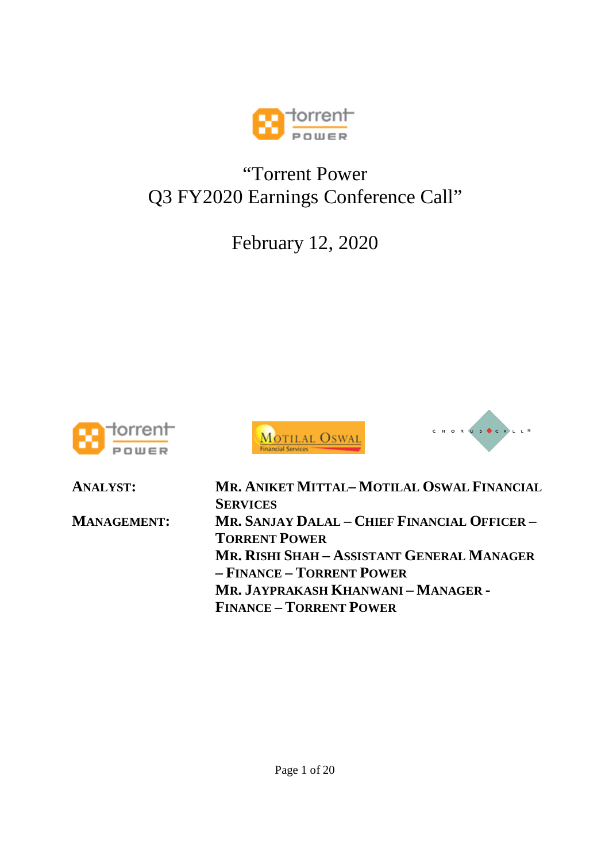

# "Torrent Power Q3 FY2020 Earnings Conference Call"

February 12, 2020







**ANALYST: MR. ANIKET MITTAL– MOTILAL OSWAL FINANCIAL SERVICES MANAGEMENT: MR. SANJAY DALAL – CHIEF FINANCIAL OFFICER – TORRENT POWER MR. RISHI SHAH – ASSISTANT GENERAL MANAGER – FINANCE – TORRENT POWER MR. JAYPRAKASH KHANWANI – MANAGER - FINANCE – TORRENT POWER**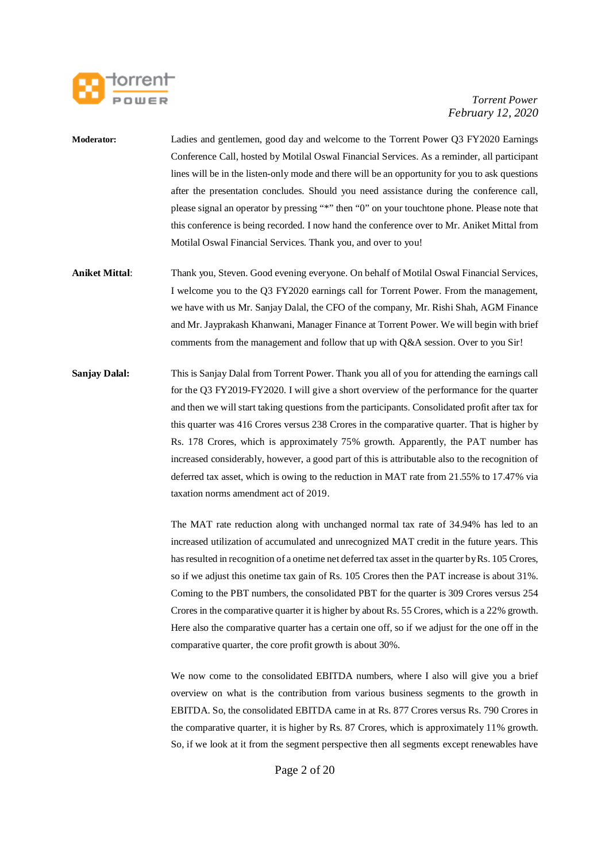

- **Moderator:** Ladies and gentlemen, good day and welcome to the Torrent Power Q3 FY2020 Earnings Conference Call, hosted by Motilal Oswal Financial Services. As a reminder, all participant lines will be in the listen-only mode and there will be an opportunity for you to ask questions after the presentation concludes. Should you need assistance during the conference call, please signal an operator by pressing "\*" then "0" on your touchtone phone. Please note that this conference is being recorded. I now hand the conference over to Mr. Aniket Mittal from Motilal Oswal Financial Services. Thank you, and over to you!
- **Aniket Mittal**: Thank you, Steven. Good evening everyone. On behalf of Motilal Oswal Financial Services, I welcome you to the Q3 FY2020 earnings call for Torrent Power. From the management, we have with us Mr. Sanjay Dalal, the CFO of the company, Mr. Rishi Shah, AGM Finance and Mr. Jayprakash Khanwani, Manager Finance at Torrent Power. We will begin with brief comments from the management and follow that up with Q&A session. Over to you Sir!
- **Sanjay Dalal:** This is Sanjay Dalal from Torrent Power. Thank you all of you for attending the earnings call for the Q3 FY2019-FY2020. I will give a short overview of the performance for the quarter and then we will start taking questions from the participants. Consolidated profit after tax for this quarter was 416 Crores versus 238 Crores in the comparative quarter. That is higher by Rs. 178 Crores, which is approximately 75% growth. Apparently, the PAT number has increased considerably, however, a good part of this is attributable also to the recognition of deferred tax asset, which is owing to the reduction in MAT rate from 21.55% to 17.47% via taxation norms amendment act of 2019.

The MAT rate reduction along with unchanged normal tax rate of 34.94% has led to an increased utilization of accumulated and unrecognized MAT credit in the future years. This has resulted in recognition of a onetime net deferred tax asset in the quarter by Rs. 105 Crores, so if we adjust this onetime tax gain of Rs. 105 Crores then the PAT increase is about 31%. Coming to the PBT numbers, the consolidated PBT for the quarter is 309 Crores versus 254 Crores in the comparative quarter it is higher by about Rs. 55 Crores, which is a 22% growth. Here also the comparative quarter has a certain one off, so if we adjust for the one off in the comparative quarter, the core profit growth is about 30%.

We now come to the consolidated EBITDA numbers, where I also will give you a brief overview on what is the contribution from various business segments to the growth in EBITDA. So, the consolidated EBITDA came in at Rs. 877 Crores versus Rs. 790 Crores in the comparative quarter, it is higher by Rs. 87 Crores, which is approximately 11% growth. So, if we look at it from the segment perspective then all segments except renewables have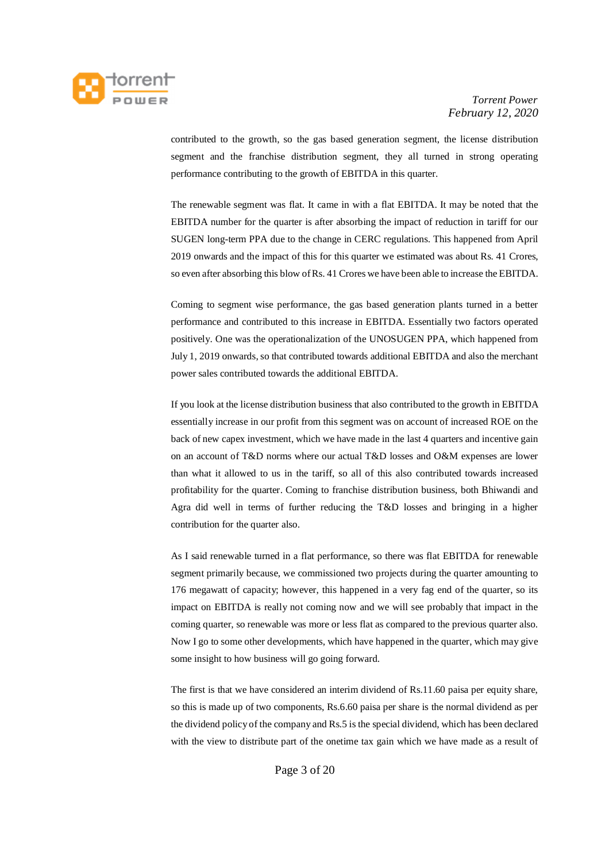

contributed to the growth, so the gas based generation segment, the license distribution segment and the franchise distribution segment, they all turned in strong operating performance contributing to the growth of EBITDA in this quarter.

The renewable segment was flat. It came in with a flat EBITDA. It may be noted that the EBITDA number for the quarter is after absorbing the impact of reduction in tariff for our SUGEN long-term PPA due to the change in CERC regulations. This happened from April 2019 onwards and the impact of this for this quarter we estimated was about Rs. 41 Crores, so even after absorbing this blow of Rs. 41 Crores we have been able to increase the EBITDA.

Coming to segment wise performance, the gas based generation plants turned in a better performance and contributed to this increase in EBITDA. Essentially two factors operated positively. One was the operationalization of the UNOSUGEN PPA, which happened from July 1, 2019 onwards, so that contributed towards additional EBITDA and also the merchant power sales contributed towards the additional EBITDA.

If you look at the license distribution business that also contributed to the growth in EBITDA essentially increase in our profit from this segment was on account of increased ROE on the back of new capex investment, which we have made in the last 4 quarters and incentive gain on an account of T&D norms where our actual T&D losses and O&M expenses are lower than what it allowed to us in the tariff, so all of this also contributed towards increased profitability for the quarter. Coming to franchise distribution business, both Bhiwandi and Agra did well in terms of further reducing the T&D losses and bringing in a higher contribution for the quarter also.

As I said renewable turned in a flat performance, so there was flat EBITDA for renewable segment primarily because, we commissioned two projects during the quarter amounting to 176 megawatt of capacity; however, this happened in a very fag end of the quarter, so its impact on EBITDA is really not coming now and we will see probably that impact in the coming quarter, so renewable was more or less flat as compared to the previous quarter also. Now I go to some other developments, which have happened in the quarter, which may give some insight to how business will go going forward.

The first is that we have considered an interim dividend of Rs.11.60 paisa per equity share, so this is made up of two components, Rs.6.60 paisa per share is the normal dividend as per the dividend policy of the company and Rs.5 is the special dividend, which has been declared with the view to distribute part of the onetime tax gain which we have made as a result of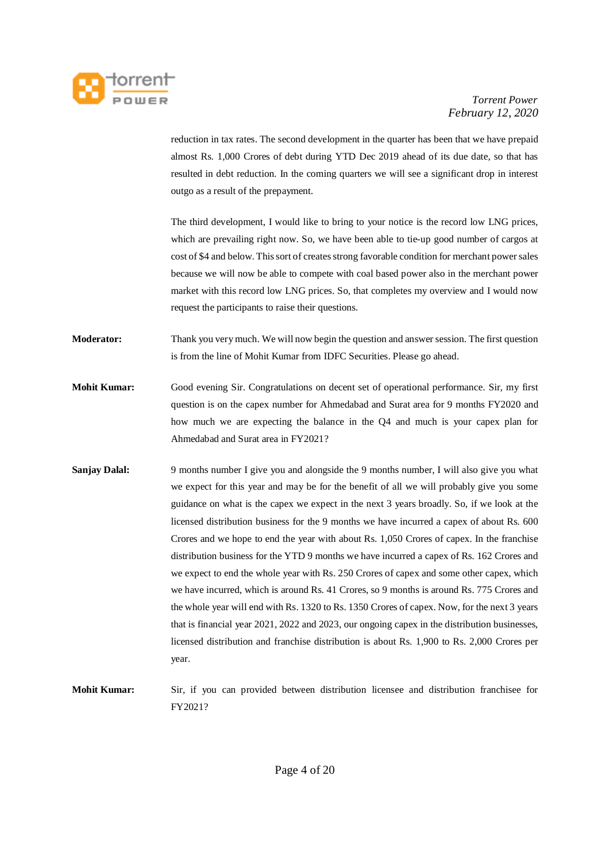

reduction in tax rates. The second development in the quarter has been that we have prepaid almost Rs. 1,000 Crores of debt during YTD Dec 2019 ahead of its due date, so that has resulted in debt reduction. In the coming quarters we will see a significant drop in interest outgo as a result of the prepayment.

The third development, I would like to bring to your notice is the record low LNG prices, which are prevailing right now. So, we have been able to tie-up good number of cargos at cost of \$4 and below. This sort of creates strong favorable condition for merchant power sales because we will now be able to compete with coal based power also in the merchant power market with this record low LNG prices. So, that completes my overview and I would now request the participants to raise their questions.

**Moderator:** Thank you very much. We will now begin the question and answer session. The first question is from the line of Mohit Kumar from IDFC Securities. Please go ahead.

- **Mohit Kumar:** Good evening Sir. Congratulations on decent set of operational performance. Sir, my first question is on the capex number for Ahmedabad and Surat area for 9 months FY2020 and how much we are expecting the balance in the Q4 and much is your capex plan for Ahmedabad and Surat area in FY2021?
- **Sanjay Dalal:** 9 months number I give you and alongside the 9 months number, I will also give you what we expect for this year and may be for the benefit of all we will probably give you some guidance on what is the capex we expect in the next 3 years broadly. So, if we look at the licensed distribution business for the 9 months we have incurred a capex of about Rs. 600 Crores and we hope to end the year with about Rs. 1,050 Crores of capex. In the franchise distribution business for the YTD 9 months we have incurred a capex of Rs. 162 Crores and we expect to end the whole year with Rs. 250 Crores of capex and some other capex, which we have incurred, which is around Rs. 41 Crores, so 9 months is around Rs. 775 Crores and the whole year will end with Rs. 1320 to Rs. 1350 Crores of capex. Now, for the next 3 years that is financial year 2021, 2022 and 2023, our ongoing capex in the distribution businesses, licensed distribution and franchise distribution is about Rs. 1,900 to Rs. 2,000 Crores per year.
- **Mohit Kumar:** Sir, if you can provided between distribution licensee and distribution franchisee for FY2021?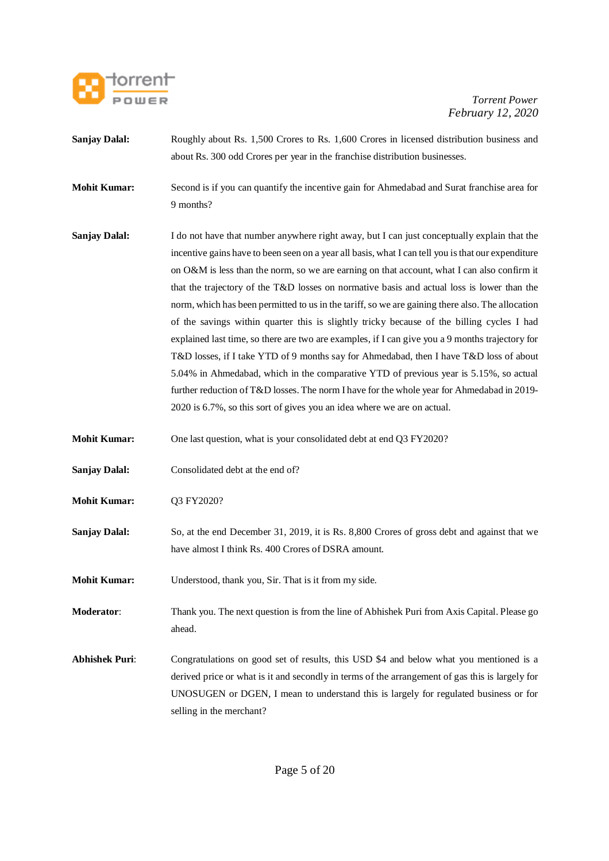

- **Sanjay Dalal:** Roughly about Rs. 1,500 Crores to Rs. 1,600 Crores in licensed distribution business and about Rs. 300 odd Crores per year in the franchise distribution businesses.
- **Mohit Kumar:** Second is if you can quantify the incentive gain for Ahmedabad and Surat franchise area for 9 months?
- **Sanjay Dalal:** I do not have that number anywhere right away, but I can just conceptually explain that the incentive gains have to been seen on a year all basis, what I can tell you is that our expenditure on O&M is less than the norm, so we are earning on that account, what I can also confirm it that the trajectory of the T&D losses on normative basis and actual loss is lower than the norm, which has been permitted to us in the tariff, so we are gaining there also. The allocation of the savings within quarter this is slightly tricky because of the billing cycles I had explained last time, so there are two are examples, if I can give you a 9 months trajectory for T&D losses, if I take YTD of 9 months say for Ahmedabad, then I have T&D loss of about 5.04% in Ahmedabad, which in the comparative YTD of previous year is 5.15%, so actual further reduction of T&D losses. The norm I have for the whole year for Ahmedabad in 2019- 2020 is 6.7%, so this sort of gives you an idea where we are on actual.
- **Mohit Kumar:** One last question, what is your consolidated debt at end Q3 FY2020?
- **Sanjay Dalal:** Consolidated debt at the end of?
- **Mohit Kumar:** Q3 FY2020?
- **Sanjay Dalal:** So, at the end December 31, 2019, it is Rs. 8,800 Crores of gross debt and against that we have almost I think Rs. 400 Crores of DSRA amount.
- **Mohit Kumar:** Understood, thank you, Sir. That is it from my side.
- **Moderator**: Thank you. The next question is from the line of Abhishek Puri from Axis Capital. Please go ahead.
- **Abhishek Puri**: Congratulations on good set of results, this USD \$4 and below what you mentioned is a derived price or what is it and secondly in terms of the arrangement of gas this is largely for UNOSUGEN or DGEN, I mean to understand this is largely for regulated business or for selling in the merchant?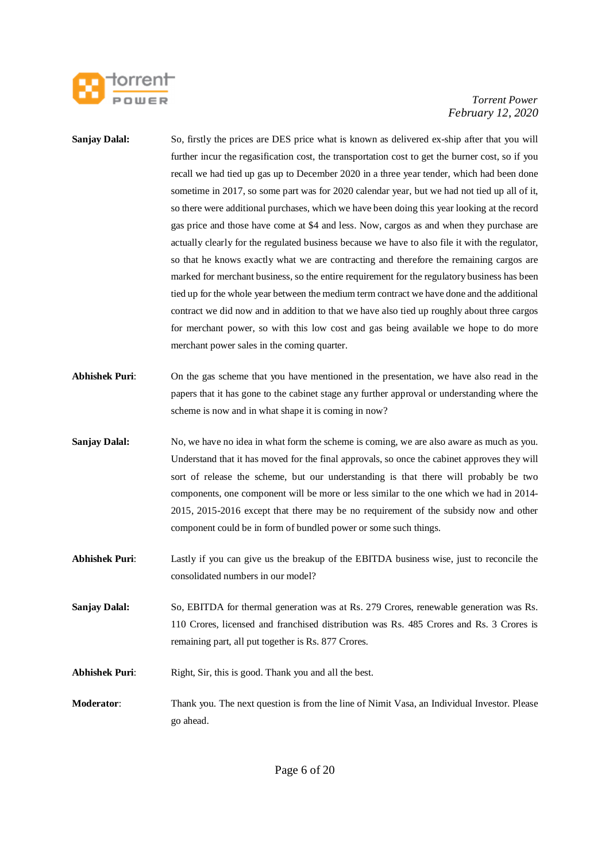

**Sanjay Dalal:** So, firstly the prices are DES price what is known as delivered ex-ship after that you will further incur the regasification cost, the transportation cost to get the burner cost, so if you recall we had tied up gas up to December 2020 in a three year tender, which had been done sometime in 2017, so some part was for 2020 calendar year, but we had not tied up all of it, so there were additional purchases, which we have been doing this year looking at the record gas price and those have come at \$4 and less. Now, cargos as and when they purchase are actually clearly for the regulated business because we have to also file it with the regulator, so that he knows exactly what we are contracting and therefore the remaining cargos are marked for merchant business, so the entire requirement for the regulatory business has been tied up for the whole year between the medium term contract we have done and the additional contract we did now and in addition to that we have also tied up roughly about three cargos for merchant power, so with this low cost and gas being available we hope to do more merchant power sales in the coming quarter. **Abhishek Puri**: On the gas scheme that you have mentioned in the presentation, we have also read in the papers that it has gone to the cabinet stage any further approval or understanding where the scheme is now and in what shape it is coming in now? **Sanjay Dalal:** No, we have no idea in what form the scheme is coming, we are also aware as much as you. Understand that it has moved for the final approvals, so once the cabinet approves they will sort of release the scheme, but our understanding is that there will probably be two components, one component will be more or less similar to the one which we had in 2014- 2015, 2015-2016 except that there may be no requirement of the subsidy now and other component could be in form of bundled power or some such things. **Abhishek Puri**: Lastly if you can give us the breakup of the EBITDA business wise, just to reconcile the consolidated numbers in our model? **Sanjay Dalal:** So, EBITDA for thermal generation was at Rs. 279 Crores, renewable generation was Rs. 110 Crores, licensed and franchised distribution was Rs. 485 Crores and Rs. 3 Crores is remaining part, all put together is Rs. 877 Crores. Abhishek Puri: Right, Sir, this is good. Thank you and all the best. **Moderator**: Thank you. The next question is from the line of Nimit Vasa, an Individual Investor. Please go ahead.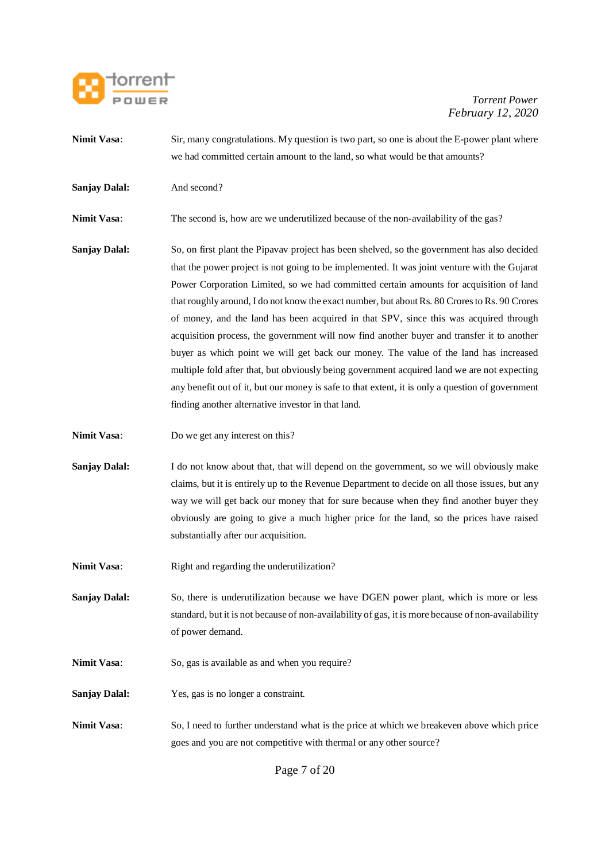

- **Nimit Vasa:** Sir, many congratulations. My question is two part, so one is about the E-power plant where we had committed certain amount to the land, so what would be that amounts? **Sanjay Dalal:** And second? **Nimit Vasa:** The second is, how are we underutilized because of the non-availability of the gas? **Sanjay Dalal:** So, on first plant the Pipavav project has been shelved, so the government has also decided that the power project is not going to be implemented. It was joint venture with the Gujarat Power Corporation Limited, so we had committed certain amounts for acquisition of land that roughly around, I do not know the exact number, but about Rs. 80 Crores to Rs. 90 Crores of money, and the land has been acquired in that SPV, since this was acquired through acquisition process, the government will now find another buyer and transfer it to another buyer as which point we will get back our money. The value of the land has increased multiple fold after that, but obviously being government acquired land we are not expecting any benefit out of it, but our money is safe to that extent, it is only a question of government finding another alternative investor in that land. **Nimit Vasa:** Do we get any interest on this? **Sanjay Dalal:** I do not know about that, that will depend on the government, so we will obviously make
	- claims, but it is entirely up to the Revenue Department to decide on all those issues, but any way we will get back our money that for sure because when they find another buyer they obviously are going to give a much higher price for the land, so the prices have raised substantially after our acquisition.
- Nimit Vasa: Right and regarding the underutilization?
- **Sanjay Dalal:** So, there is underutilization because we have DGEN power plant, which is more or less standard, but it is not because of non-availability of gas, it is more because of non-availability of power demand.
- **Nimit Vasa:** So, gas is available as and when you require?
- **Sanjay Dalal:** Yes, gas is no longer a constraint.
- **Nimit Vasa:** So, I need to further understand what is the price at which we breakeven above which price goes and you are not competitive with thermal or any other source?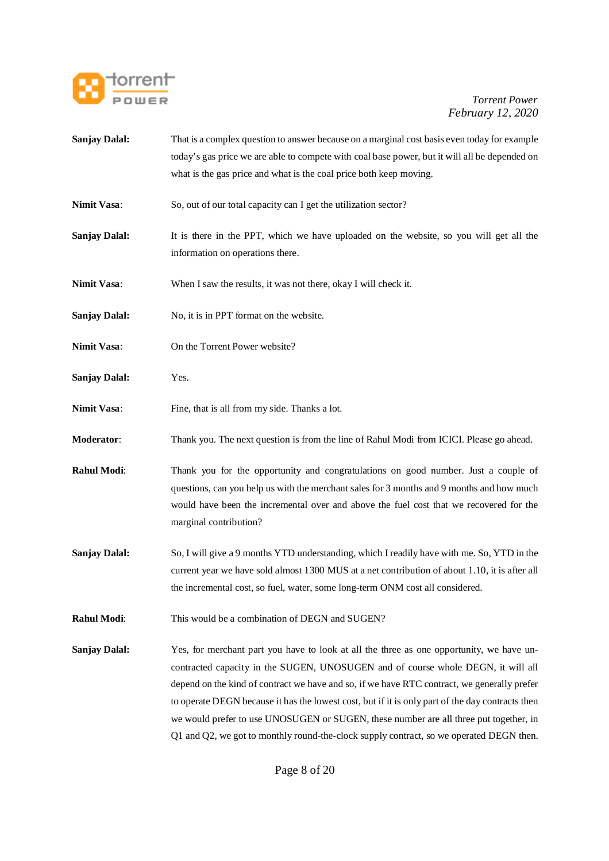

- **Sanjay Dalal:** That is a complex question to answer because on a marginal cost basis even today for example today's gas price we are able to compete with coal base power, but it will all be depended on what is the gas price and what is the coal price both keep moving.
- **Nimit Vasa:** So, out of our total capacity can I get the utilization sector?
- **Sanjay Dalal:** It is there in the PPT, which we have uploaded on the website, so you will get all the information on operations there.
- **Nimit Vasa:** When I saw the results, it was not there, okay I will check it.
- **Sanjay Dalal:** No, it is in PPT format on the website.
- **Nimit Vasa**: On the Torrent Power website?
- **Sanjay Dalal:** Yes.
- **Nimit Vasa:** Fine, that is all from my side. Thanks a lot.
- **Moderator**: Thank you. The next question is from the line of Rahul Modi from ICICI. Please go ahead.
- **Rahul Modi:** Thank you for the opportunity and congratulations on good number. Just a couple of questions, can you help us with the merchant sales for 3 months and 9 months and how much would have been the incremental over and above the fuel cost that we recovered for the marginal contribution?
- **Sanjay Dalal:** So, I will give a 9 months YTD understanding, which I readily have with me. So, YTD in the current year we have sold almost 1300 MUS at a net contribution of about 1.10, it is after all the incremental cost, so fuel, water, some long-term ONM cost all considered.
- **Rahul Modi:** This would be a combination of DEGN and SUGEN?
- **Sanjay Dalal:** Yes, for merchant part you have to look at all the three as one opportunity, we have uncontracted capacity in the SUGEN, UNOSUGEN and of course whole DEGN, it will all depend on the kind of contract we have and so, if we have RTC contract, we generally prefer to operate DEGN because it has the lowest cost, but if it is only part of the day contracts then we would prefer to use UNOSUGEN or SUGEN, these number are all three put together, in Q1 and Q2, we got to monthly round-the-clock supply contract, so we operated DEGN then.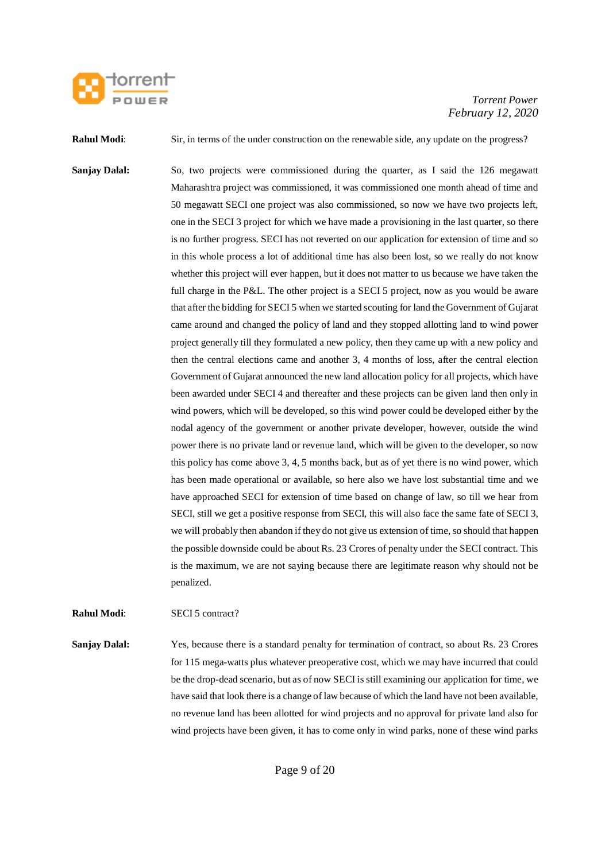

**Rahul Modi:** Sir, in terms of the under construction on the renewable side, any update on the progress?

**Sanjay Dalal:** So, two projects were commissioned during the quarter, as I said the 126 megawatt Maharashtra project was commissioned, it was commissioned one month ahead of time and 50 megawatt SECI one project was also commissioned, so now we have two projects left, one in the SECI 3 project for which we have made a provisioning in the last quarter, so there is no further progress. SECI has not reverted on our application for extension of time and so in this whole process a lot of additional time has also been lost, so we really do not know whether this project will ever happen, but it does not matter to us because we have taken the full charge in the P&L. The other project is a SECI 5 project, now as you would be aware that after the bidding for SECI 5 when we started scouting for land the Government of Gujarat came around and changed the policy of land and they stopped allotting land to wind power project generally till they formulated a new policy, then they came up with a new policy and then the central elections came and another 3, 4 months of loss, after the central election Government of Gujarat announced the new land allocation policy for all projects, which have been awarded under SECI 4 and thereafter and these projects can be given land then only in wind powers, which will be developed, so this wind power could be developed either by the nodal agency of the government or another private developer, however, outside the wind power there is no private land or revenue land, which will be given to the developer, so now this policy has come above 3, 4, 5 months back, but as of yet there is no wind power, which has been made operational or available, so here also we have lost substantial time and we have approached SECI for extension of time based on change of law, so till we hear from SECI, still we get a positive response from SECI, this will also face the same fate of SECI 3, we will probably then abandon if they do not give us extension of time, so should that happen the possible downside could be about Rs. 23 Crores of penalty under the SECI contract. This is the maximum, we are not saying because there are legitimate reason why should not be penalized.

**Rahul Modi**: SECI 5 contract?

**Sanjay Dalal:** Yes, because there is a standard penalty for termination of contract, so about Rs. 23 Crores for 115 mega-watts plus whatever preoperative cost, which we may have incurred that could be the drop-dead scenario, but as of now SECI is still examining our application for time, we have said that look there is a change of law because of which the land have not been available, no revenue land has been allotted for wind projects and no approval for private land also for wind projects have been given, it has to come only in wind parks, none of these wind parks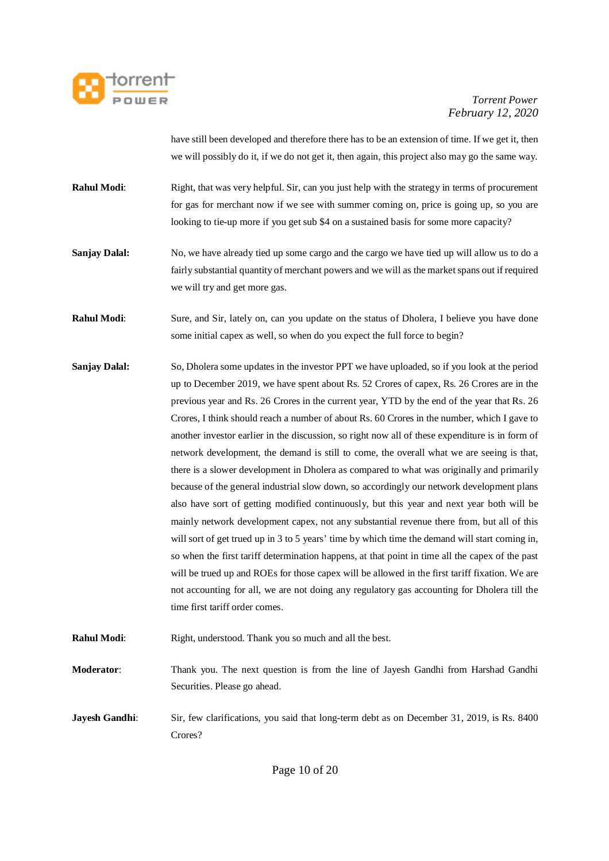

have still been developed and therefore there has to be an extension of time. If we get it, then we will possibly do it, if we do not get it, then again, this project also may go the same way.

- **Rahul Modi:** Right, that was very helpful. Sir, can you just help with the strategy in terms of procurement for gas for merchant now if we see with summer coming on, price is going up, so you are looking to tie-up more if you get sub \$4 on a sustained basis for some more capacity?
- **Sanjay Dalal:** No, we have already tied up some cargo and the cargo we have tied up will allow us to do a fairly substantial quantity of merchant powers and we will as the market spans out if required we will try and get more gas.
- **Rahul Modi**: Sure, and Sir, lately on, can you update on the status of Dholera, I believe you have done some initial capex as well, so when do you expect the full force to begin?
- **Sanjay Dalal:** So, Dholera some updates in the investor PPT we have uploaded, so if you look at the period up to December 2019, we have spent about Rs. 52 Crores of capex, Rs. 26 Crores are in the previous year and Rs. 26 Crores in the current year, YTD by the end of the year that Rs. 26 Crores, I think should reach a number of about Rs. 60 Crores in the number, which I gave to another investor earlier in the discussion, so right now all of these expenditure is in form of network development, the demand is still to come, the overall what we are seeing is that, there is a slower development in Dholera as compared to what was originally and primarily because of the general industrial slow down, so accordingly our network development plans also have sort of getting modified continuously, but this year and next year both will be mainly network development capex, not any substantial revenue there from, but all of this will sort of get trued up in 3 to 5 years' time by which time the demand will start coming in, so when the first tariff determination happens, at that point in time all the capex of the past will be trued up and ROEs for those capex will be allowed in the first tariff fixation. We are not accounting for all, we are not doing any regulatory gas accounting for Dholera till the time first tariff order comes.
- **Rahul Modi:** Right, understood. Thank you so much and all the best.
- **Moderator**: Thank you. The next question is from the line of Jayesh Gandhi from Harshad Gandhi Securities. Please go ahead.
- **Jayesh Gandhi:** Sir, few clarifications, you said that long-term debt as on December 31, 2019, is Rs. 8400 Crores?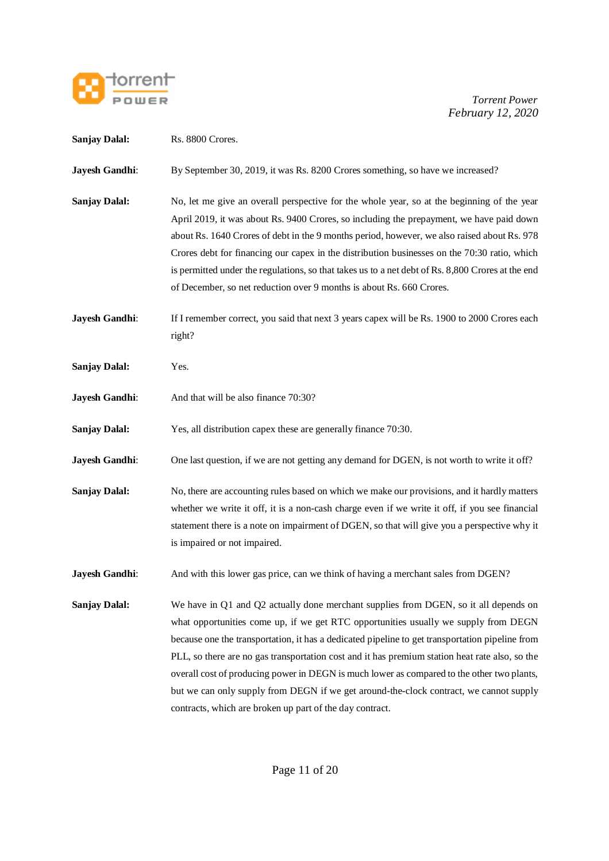

| <b>Sanjay Dalal:</b>  | Rs. 8800 Crores.                                                                                                                                                                                                                                                                                                                                                                                                                                                                                                                                                                                                                     |
|-----------------------|--------------------------------------------------------------------------------------------------------------------------------------------------------------------------------------------------------------------------------------------------------------------------------------------------------------------------------------------------------------------------------------------------------------------------------------------------------------------------------------------------------------------------------------------------------------------------------------------------------------------------------------|
| Jayesh Gandhi:        | By September 30, 2019, it was Rs. 8200 Crores something, so have we increased?                                                                                                                                                                                                                                                                                                                                                                                                                                                                                                                                                       |
| <b>Sanjay Dalal:</b>  | No, let me give an overall perspective for the whole year, so at the beginning of the year<br>April 2019, it was about Rs. 9400 Crores, so including the prepayment, we have paid down<br>about Rs. 1640 Crores of debt in the 9 months period, however, we also raised about Rs. 978<br>Crores debt for financing our capex in the distribution businesses on the 70:30 ratio, which<br>is permitted under the regulations, so that takes us to a net debt of Rs. 8,800 Crores at the end<br>of December, so net reduction over 9 months is about Rs. 660 Crores.                                                                   |
| Jayesh Gandhi:        | If I remember correct, you said that next 3 years capex will be Rs. 1900 to 2000 Crores each<br>right?                                                                                                                                                                                                                                                                                                                                                                                                                                                                                                                               |
| <b>Sanjay Dalal:</b>  | Yes.                                                                                                                                                                                                                                                                                                                                                                                                                                                                                                                                                                                                                                 |
| Jayesh Gandhi:        | And that will be also finance 70:30?                                                                                                                                                                                                                                                                                                                                                                                                                                                                                                                                                                                                 |
| <b>Sanjay Dalal:</b>  | Yes, all distribution capex these are generally finance 70:30.                                                                                                                                                                                                                                                                                                                                                                                                                                                                                                                                                                       |
| Jayesh Gandhi:        | One last question, if we are not getting any demand for DGEN, is not worth to write it off?                                                                                                                                                                                                                                                                                                                                                                                                                                                                                                                                          |
| <b>Sanjay Dalal:</b>  | No, there are accounting rules based on which we make our provisions, and it hardly matters<br>whether we write it off, it is a non-cash charge even if we write it off, if you see financial<br>statement there is a note on impairment of DGEN, so that will give you a perspective why it<br>is impaired or not impaired.                                                                                                                                                                                                                                                                                                         |
| <b>Jayesh Gandhi:</b> | And with this lower gas price, can we think of having a merchant sales from DGEN?                                                                                                                                                                                                                                                                                                                                                                                                                                                                                                                                                    |
| <b>Sanjay Dalal:</b>  | We have in Q1 and Q2 actually done merchant supplies from DGEN, so it all depends on<br>what opportunities come up, if we get RTC opportunities usually we supply from DEGN<br>because one the transportation, it has a dedicated pipeline to get transportation pipeline from<br>PLL, so there are no gas transportation cost and it has premium station heat rate also, so the<br>overall cost of producing power in DEGN is much lower as compared to the other two plants,<br>but we can only supply from DEGN if we get around-the-clock contract, we cannot supply<br>contracts, which are broken up part of the day contract. |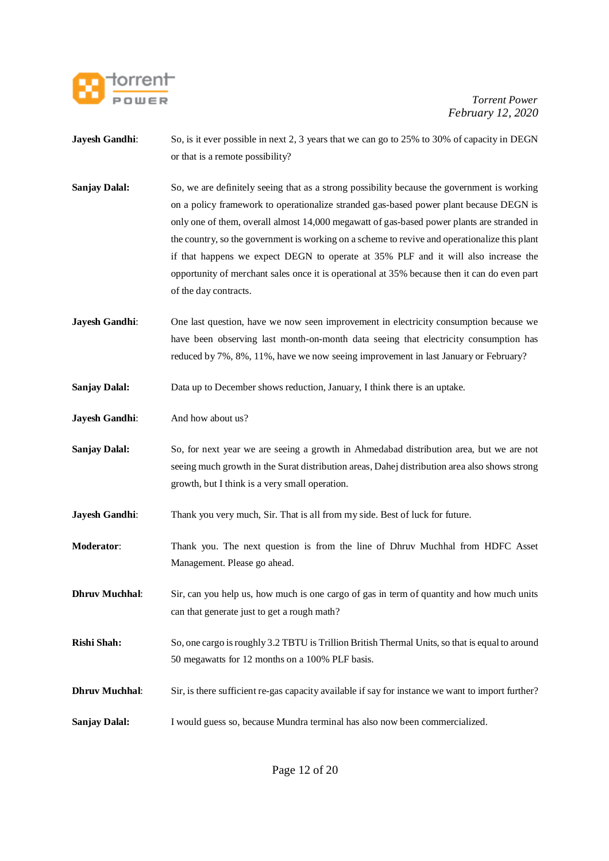

- **Jayesh Gandhi:** So, is it ever possible in next 2, 3 years that we can go to 25% to 30% of capacity in DEGN or that is a remote possibility?
- **Sanjay Dalal:** So, we are definitely seeing that as a strong possibility because the government is working on a policy framework to operationalize stranded gas-based power plant because DEGN is only one of them, overall almost 14,000 megawatt of gas-based power plants are stranded in the country, so the government is working on a scheme to revive and operationalize this plant if that happens we expect DEGN to operate at 35% PLF and it will also increase the opportunity of merchant sales once it is operational at 35% because then it can do even part of the day contracts.
- **Jayesh Gandhi:** One last question, have we now seen improvement in electricity consumption because we have been observing last month-on-month data seeing that electricity consumption has reduced by 7%, 8%, 11%, have we now seeing improvement in last January or February?
- **Sanjay Dalal:** Data up to December shows reduction, January, I think there is an uptake.
- **Jayesh Gandhi:** And how about us?
- **Sanjay Dalal:** So, for next year we are seeing a growth in Ahmedabad distribution area, but we are not seeing much growth in the Surat distribution areas, Dahej distribution area also shows strong growth, but I think is a very small operation.
- **Jayesh Gandhi:** Thank you very much, Sir. That is all from my side. Best of luck for future.
- **Moderator**: Thank you. The next question is from the line of Dhruv Muchhal from HDFC Asset Management. Please go ahead.
- **Dhruv Muchhal:** Sir, can you help us, how much is one cargo of gas in term of quantity and how much units can that generate just to get a rough math?
- **Rishi Shah:** So, one cargo is roughly 3.2 TBTU is Trillion British Thermal Units, so that is equal to around 50 megawatts for 12 months on a 100% PLF basis.
- **Dhruv Muchhal:** Sir, is there sufficient re-gas capacity available if say for instance we want to import further?
- **Sanjay Dalal:** I would guess so, because Mundra terminal has also now been commercialized.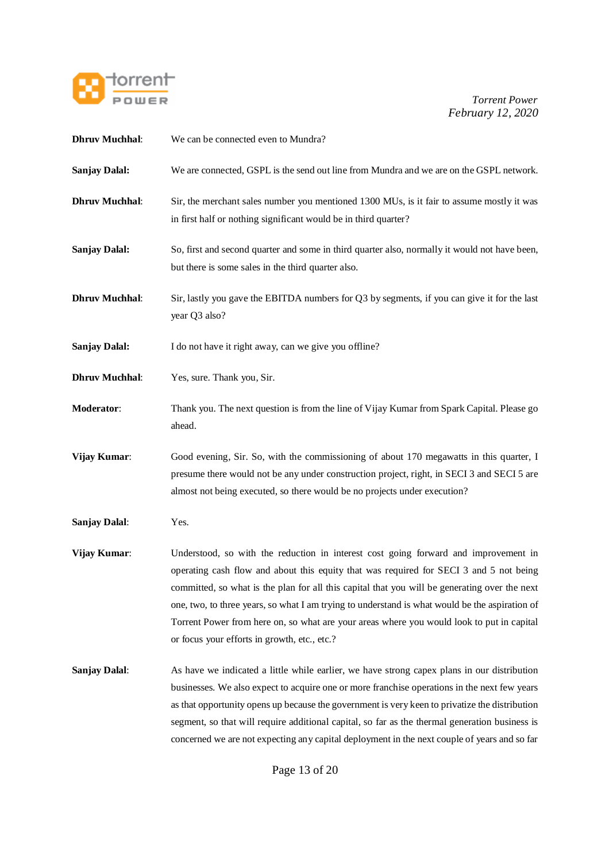

| <b>Dhruv Muchhal:</b> | We can be connected even to Mundra?                                                                                                                                                                                                                                                                                                                                                                                                                                                                                           |
|-----------------------|-------------------------------------------------------------------------------------------------------------------------------------------------------------------------------------------------------------------------------------------------------------------------------------------------------------------------------------------------------------------------------------------------------------------------------------------------------------------------------------------------------------------------------|
| <b>Sanjay Dalal:</b>  | We are connected, GSPL is the send out line from Mundra and we are on the GSPL network.                                                                                                                                                                                                                                                                                                                                                                                                                                       |
| <b>Dhruv Muchhal:</b> | Sir, the merchant sales number you mentioned 1300 MUs, is it fair to assume mostly it was<br>in first half or nothing significant would be in third quarter?                                                                                                                                                                                                                                                                                                                                                                  |
| <b>Sanjay Dalal:</b>  | So, first and second quarter and some in third quarter also, normally it would not have been,<br>but there is some sales in the third quarter also.                                                                                                                                                                                                                                                                                                                                                                           |
| <b>Dhruv Muchhal:</b> | Sir, lastly you gave the EBITDA numbers for Q3 by segments, if you can give it for the last<br>year Q3 also?                                                                                                                                                                                                                                                                                                                                                                                                                  |
| <b>Sanjay Dalal:</b>  | I do not have it right away, can we give you offline?                                                                                                                                                                                                                                                                                                                                                                                                                                                                         |
| <b>Dhruv Muchhal:</b> | Yes, sure. Thank you, Sir.                                                                                                                                                                                                                                                                                                                                                                                                                                                                                                    |
| Moderator:            | Thank you. The next question is from the line of Vijay Kumar from Spark Capital. Please go<br>ahead.                                                                                                                                                                                                                                                                                                                                                                                                                          |
| Vijay Kumar:          | Good evening, Sir. So, with the commissioning of about 170 megawatts in this quarter, I<br>presume there would not be any under construction project, right, in SECI 3 and SECI 5 are<br>almost not being executed, so there would be no projects under execution?                                                                                                                                                                                                                                                            |
| <b>Sanjay Dalal:</b>  | Yes.                                                                                                                                                                                                                                                                                                                                                                                                                                                                                                                          |
| Vijay Kumar:          | Understood, so with the reduction in interest cost going forward and improvement in<br>operating cash flow and about this equity that was required for SECI 3 and 5 not being<br>committed, so what is the plan for all this capital that you will be generating over the next<br>one, two, to three years, so what I am trying to understand is what would be the aspiration of<br>Torrent Power from here on, so what are your areas where you would look to put in capital<br>or focus your efforts in growth, etc., etc.? |
| <b>Sanjay Dalal:</b>  | As have we indicated a little while earlier, we have strong capex plans in our distribution<br>businesses. We also expect to acquire one or more franchise operations in the next few years<br>as that opportunity opens up because the government is very keen to privatize the distribution<br>segment, so that will require additional capital, so far as the thermal generation business is<br>concerned we are not expecting any capital deployment in the next couple of years and so far                               |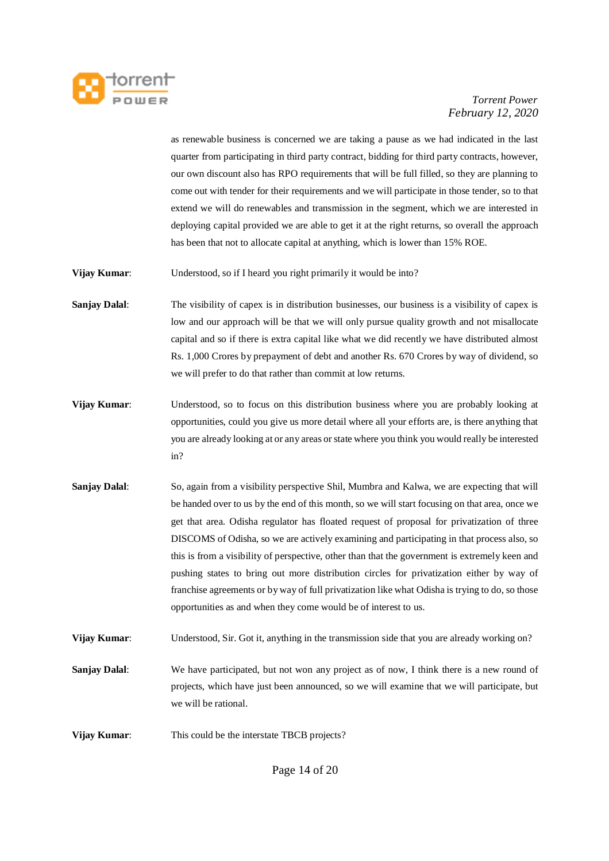

as renewable business is concerned we are taking a pause as we had indicated in the last quarter from participating in third party contract, bidding for third party contracts, however, our own discount also has RPO requirements that will be full filled, so they are planning to come out with tender for their requirements and we will participate in those tender, so to that extend we will do renewables and transmission in the segment, which we are interested in deploying capital provided we are able to get it at the right returns, so overall the approach has been that not to allocate capital at anything, which is lower than 15% ROE.

**Vijay Kumar**: Understood, so if I heard you right primarily it would be into?

- **Sanjay Dalal:** The visibility of capex is in distribution businesses, our business is a visibility of capex is low and our approach will be that we will only pursue quality growth and not misallocate capital and so if there is extra capital like what we did recently we have distributed almost Rs. 1,000 Crores by prepayment of debt and another Rs. 670 Crores by way of dividend, so we will prefer to do that rather than commit at low returns.
- **Vijay Kumar**: Understood, so to focus on this distribution business where you are probably looking at opportunities, could you give us more detail where all your efforts are, is there anything that you are already looking at or any areas or state where you think you would really be interested in?
- **Sanjay Dalal:** So, again from a visibility perspective Shil, Mumbra and Kalwa, we are expecting that will be handed over to us by the end of this month, so we will start focusing on that area, once we get that area. Odisha regulator has floated request of proposal for privatization of three DISCOMS of Odisha, so we are actively examining and participating in that process also, so this is from a visibility of perspective, other than that the government is extremely keen and pushing states to bring out more distribution circles for privatization either by way of franchise agreements or by way of full privatization like what Odisha is trying to do, so those opportunities as and when they come would be of interest to us.

**Vijay Kumar:** Understood, Sir. Got it, anything in the transmission side that you are already working on?

**Sanjay Dalal:** We have participated, but not won any project as of now, I think there is a new round of projects, which have just been announced, so we will examine that we will participate, but we will be rational.

**Vijay Kumar:** This could be the interstate TBCB projects?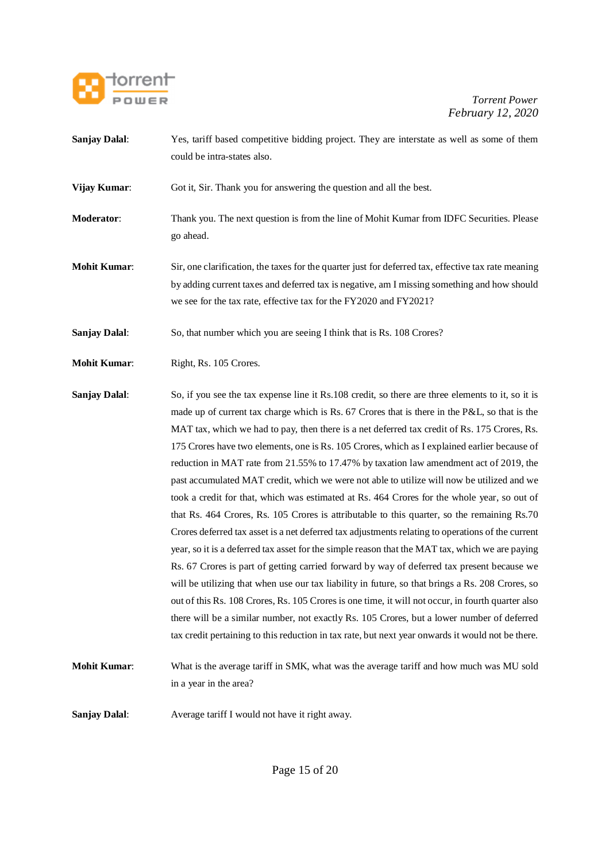

- **Sanjay Dalal:** Yes, tariff based competitive bidding project. They are interstate as well as some of them could be intra-states also.
- **Vijay Kumar**: Got it, Sir. Thank you for answering the question and all the best.
- **Moderator**: Thank you. The next question is from the line of Mohit Kumar from IDFC Securities. Please go ahead.
- **Mohit Kumar:** Sir, one clarification, the taxes for the quarter just for deferred tax, effective tax rate meaning by adding current taxes and deferred tax is negative, am I missing something and how should we see for the tax rate, effective tax for the FY2020 and FY2021?

**Sanjay Dalal:** So, that number which you are seeing I think that is Rs. 108 Crores?

- **Mohit Kumar:** Right, Rs. 105 Crores.
- **Sanjay Dalal:** So, if you see the tax expense line it Rs.108 credit, so there are three elements to it, so it is made up of current tax charge which is Rs. 67 Crores that is there in the P&L, so that is the MAT tax, which we had to pay, then there is a net deferred tax credit of Rs. 175 Crores, Rs. 175 Crores have two elements, one is Rs. 105 Crores, which as I explained earlier because of reduction in MAT rate from 21.55% to 17.47% by taxation law amendment act of 2019, the past accumulated MAT credit, which we were not able to utilize will now be utilized and we took a credit for that, which was estimated at Rs. 464 Crores for the whole year, so out of that Rs. 464 Crores, Rs. 105 Crores is attributable to this quarter, so the remaining Rs.70 Crores deferred tax asset is a net deferred tax adjustments relating to operations of the current year, so it is a deferred tax asset for the simple reason that the MAT tax, which we are paying Rs. 67 Crores is part of getting carried forward by way of deferred tax present because we will be utilizing that when use our tax liability in future, so that brings a Rs. 208 Crores, so out of this Rs. 108 Crores, Rs. 105 Crores is one time, it will not occur, in fourth quarter also there will be a similar number, not exactly Rs. 105 Crores, but a lower number of deferred tax credit pertaining to this reduction in tax rate, but next year onwards it would not be there.
- **Mohit Kumar**: What is the average tariff in SMK, what was the average tariff and how much was MU sold in a year in the area?

**Sanjay Dalal:** Average tariff I would not have it right away.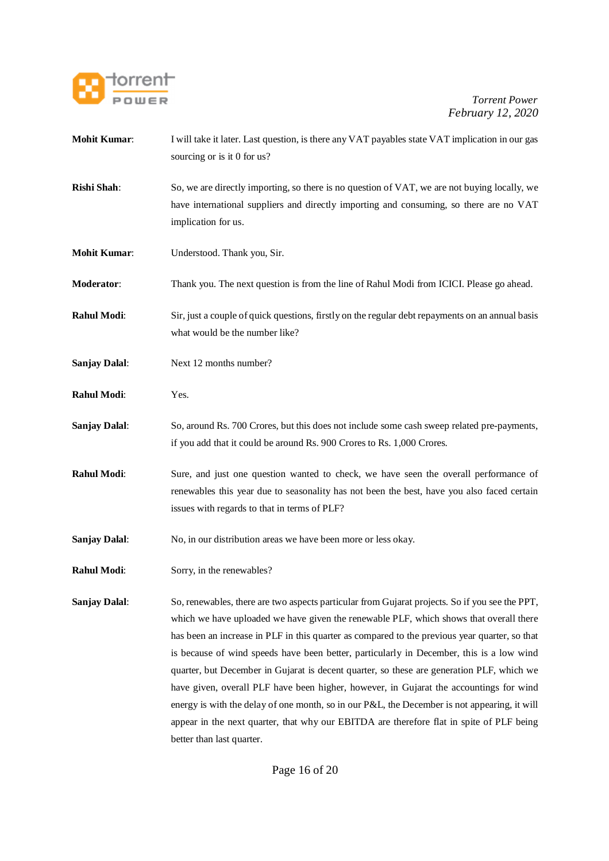

- **Mohit Kumar:** I will take it later. Last question, is there any VAT payables state VAT implication in our gas sourcing or is it 0 for us?
- **Rishi Shah**: So, we are directly importing, so there is no question of VAT, we are not buying locally, we have international suppliers and directly importing and consuming, so there are no VAT implication for us.
- **Mohit Kumar**: Understood. Thank you, Sir.
- **Moderator**: Thank you. The next question is from the line of Rahul Modi from ICICI. Please go ahead.
- **Rahul Modi:** Sir, just a couple of quick questions, firstly on the regular debt repayments on an annual basis what would be the number like?
- **Sanjay Dalal:** Next 12 months number?
- **Rahul Modi**: Yes.
- **Sanjay Dalal**: So, around Rs. 700 Crores, but this does not include some cash sweep related pre-payments, if you add that it could be around Rs. 900 Crores to Rs. 1,000 Crores.
- **Rahul Modi:** Sure, and just one question wanted to check, we have seen the overall performance of renewables this year due to seasonality has not been the best, have you also faced certain issues with regards to that in terms of PLF?
- **Sanjay Dalal:** No, in our distribution areas we have been more or less okay.
- **Rahul Modi:** Sorry, in the renewables?

**Sanjay Dalal:** So, renewables, there are two aspects particular from Gujarat projects. So if you see the PPT, which we have uploaded we have given the renewable PLF, which shows that overall there has been an increase in PLF in this quarter as compared to the previous year quarter, so that is because of wind speeds have been better, particularly in December, this is a low wind quarter, but December in Gujarat is decent quarter, so these are generation PLF, which we have given, overall PLF have been higher, however, in Gujarat the accountings for wind energy is with the delay of one month, so in our P&L, the December is not appearing, it will appear in the next quarter, that why our EBITDA are therefore flat in spite of PLF being better than last quarter.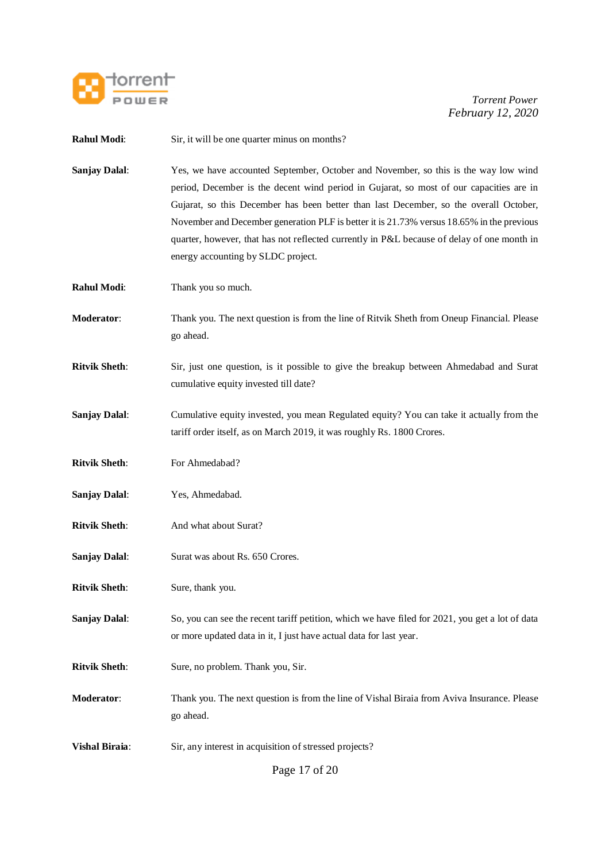

| <b>Rahul Modi:</b>    | Sir, it will be one quarter minus on months?                                                                                                                                                                                                                                                                                                                                                                                                                                                             |
|-----------------------|----------------------------------------------------------------------------------------------------------------------------------------------------------------------------------------------------------------------------------------------------------------------------------------------------------------------------------------------------------------------------------------------------------------------------------------------------------------------------------------------------------|
| <b>Sanjay Dalal:</b>  | Yes, we have accounted September, October and November, so this is the way low wind<br>period, December is the decent wind period in Gujarat, so most of our capacities are in<br>Gujarat, so this December has been better than last December, so the overall October,<br>November and December generation PLF is better it is 21.73% versus 18.65% in the previous<br>quarter, however, that has not reflected currently in P&L because of delay of one month in<br>energy accounting by SLDC project. |
| Rahul Modi:           | Thank you so much.                                                                                                                                                                                                                                                                                                                                                                                                                                                                                       |
| Moderator:            | Thank you. The next question is from the line of Ritvik Sheth from Oneup Financial. Please<br>go ahead.                                                                                                                                                                                                                                                                                                                                                                                                  |
| <b>Ritvik Sheth:</b>  | Sir, just one question, is it possible to give the breakup between Ahmedabad and Surat<br>cumulative equity invested till date?                                                                                                                                                                                                                                                                                                                                                                          |
| <b>Sanjay Dalal:</b>  | Cumulative equity invested, you mean Regulated equity? You can take it actually from the<br>tariff order itself, as on March 2019, it was roughly Rs. 1800 Crores.                                                                                                                                                                                                                                                                                                                                       |
| <b>Ritvik Sheth:</b>  | For Ahmedabad?                                                                                                                                                                                                                                                                                                                                                                                                                                                                                           |
| <b>Sanjay Dalal:</b>  | Yes, Ahmedabad.                                                                                                                                                                                                                                                                                                                                                                                                                                                                                          |
| <b>Ritvik Sheth:</b>  | And what about Surat?                                                                                                                                                                                                                                                                                                                                                                                                                                                                                    |
| <b>Sanjay Dalal:</b>  | Surat was about Rs. 650 Crores.                                                                                                                                                                                                                                                                                                                                                                                                                                                                          |
| <b>Ritvik Sheth:</b>  | Sure, thank you.                                                                                                                                                                                                                                                                                                                                                                                                                                                                                         |
| <b>Sanjay Dalal:</b>  | So, you can see the recent tariff petition, which we have filed for 2021, you get a lot of data<br>or more updated data in it, I just have actual data for last year.                                                                                                                                                                                                                                                                                                                                    |
| <b>Ritvik Sheth:</b>  | Sure, no problem. Thank you, Sir.                                                                                                                                                                                                                                                                                                                                                                                                                                                                        |
| Moderator:            | Thank you. The next question is from the line of Vishal Biraia from Aviva Insurance. Please<br>go ahead.                                                                                                                                                                                                                                                                                                                                                                                                 |
| <b>Vishal Biraia:</b> | Sir, any interest in acquisition of stressed projects?                                                                                                                                                                                                                                                                                                                                                                                                                                                   |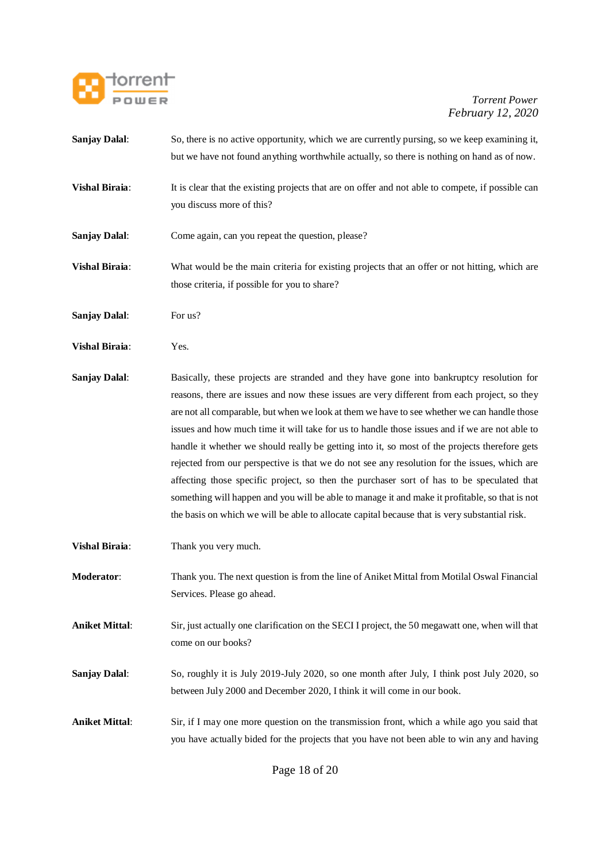

- **Sanjay Dalal**: So, there is no active opportunity, which we are currently pursing, so we keep examining it, but we have not found anything worthwhile actually, so there is nothing on hand as of now.
- **Vishal Biraia:** It is clear that the existing projects that are on offer and not able to compete, if possible can you discuss more of this?
- **Sanjay Dalal:** Come again, can you repeat the question, please?
- **Vishal Biraia**: What would be the main criteria for existing projects that an offer or not hitting, which are those criteria, if possible for you to share?
- **Sanjay Dalal**: For us?
- **Vishal Biraia**: Yes.
- **Sanjay Dalal**: Basically, these projects are stranded and they have gone into bankruptcy resolution for reasons, there are issues and now these issues are very different from each project, so they are not all comparable, but when we look at them we have to see whether we can handle those issues and how much time it will take for us to handle those issues and if we are not able to handle it whether we should really be getting into it, so most of the projects therefore gets rejected from our perspective is that we do not see any resolution for the issues, which are affecting those specific project, so then the purchaser sort of has to be speculated that something will happen and you will be able to manage it and make it profitable, so that is not the basis on which we will be able to allocate capital because that is very substantial risk.
- **Vishal Biraia:** Thank you very much.
- **Moderator**: Thank you. The next question is from the line of Aniket Mittal from Motilal Oswal Financial Services. Please go ahead.
- **Aniket Mittal**: Sir, just actually one clarification on the SECI I project, the 50 megawatt one, when will that come on our books?
- **Sanjay Dalal:** So, roughly it is July 2019-July 2020, so one month after July, I think post July 2020, so between July 2000 and December 2020, I think it will come in our book.
- **Aniket Mittal**: Sir, if I may one more question on the transmission front, which a while ago you said that you have actually bided for the projects that you have not been able to win any and having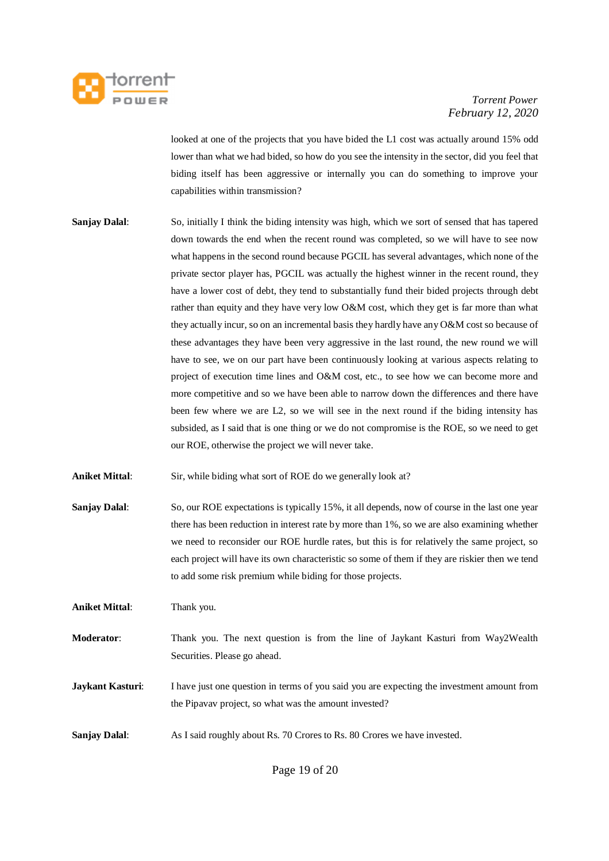

looked at one of the projects that you have bided the L1 cost was actually around 15% odd lower than what we had bided, so how do you see the intensity in the sector, did you feel that biding itself has been aggressive or internally you can do something to improve your capabilities within transmission?

- **Sanjay Dalal**: So, initially I think the biding intensity was high, which we sort of sensed that has tapered down towards the end when the recent round was completed, so we will have to see now what happens in the second round because PGCIL has several advantages, which none of the private sector player has, PGCIL was actually the highest winner in the recent round, they have a lower cost of debt, they tend to substantially fund their bided projects through debt rather than equity and they have very low O&M cost, which they get is far more than what they actually incur, so on an incremental basis they hardly have any O&M cost so because of these advantages they have been very aggressive in the last round, the new round we will have to see, we on our part have been continuously looking at various aspects relating to project of execution time lines and O&M cost, etc., to see how we can become more and more competitive and so we have been able to narrow down the differences and there have been few where we are L2, so we will see in the next round if the biding intensity has subsided, as I said that is one thing or we do not compromise is the ROE, so we need to get our ROE, otherwise the project we will never take.
- **Aniket Mittal:** Sir, while biding what sort of ROE do we generally look at?
- **Sanjay Dalal:** So, our ROE expectations is typically 15%, it all depends, now of course in the last one year there has been reduction in interest rate by more than 1%, so we are also examining whether we need to reconsider our ROE hurdle rates, but this is for relatively the same project, so each project will have its own characteristic so some of them if they are riskier then we tend to add some risk premium while biding for those projects.

**Aniket Mittal**: Thank you.

- **Moderator:** Thank you. The next question is from the line of Jaykant Kasturi from Way2Wealth Securities. Please go ahead.
- **Jaykant Kasturi**: I have just one question in terms of you said you are expecting the investment amount from the Pipavav project, so what was the amount invested?
- **Sanjay Dalal:** As I said roughly about Rs. 70 Crores to Rs. 80 Crores we have invested.